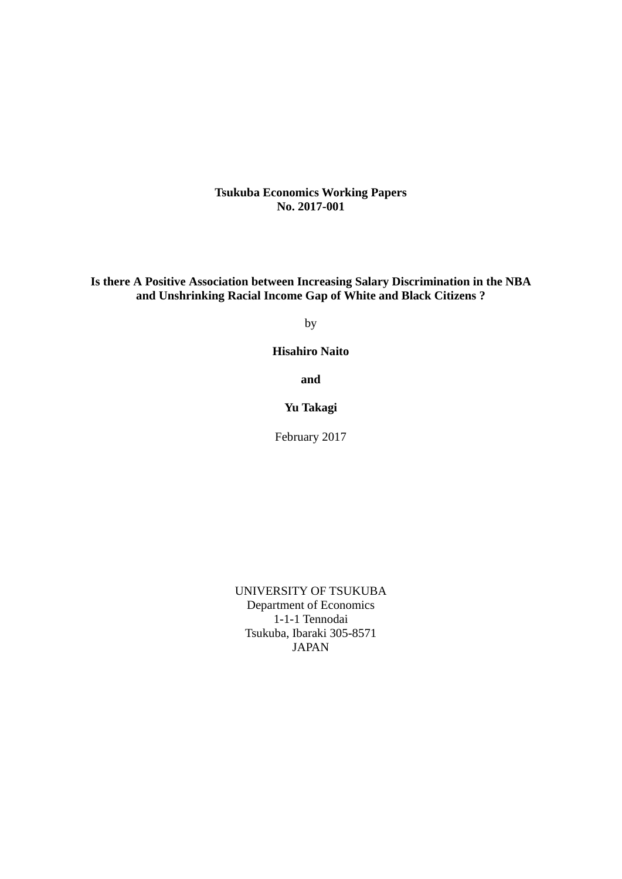**Tsukuba Economics Working Papers No. 2017-001**

**Is there A Positive Association between Increasing Salary Discrimination in the NBA and Unshrinking Racial Income Gap of White and Black Citizens ?** 

by

**Hisahiro Naito** 

**and** 

**Yu Takagi** 

February 2017

UNIVERSITY OF TSUKUBA Department of Economics 1-1-1 Tennodai Tsukuba, Ibaraki 305-8571 JAPAN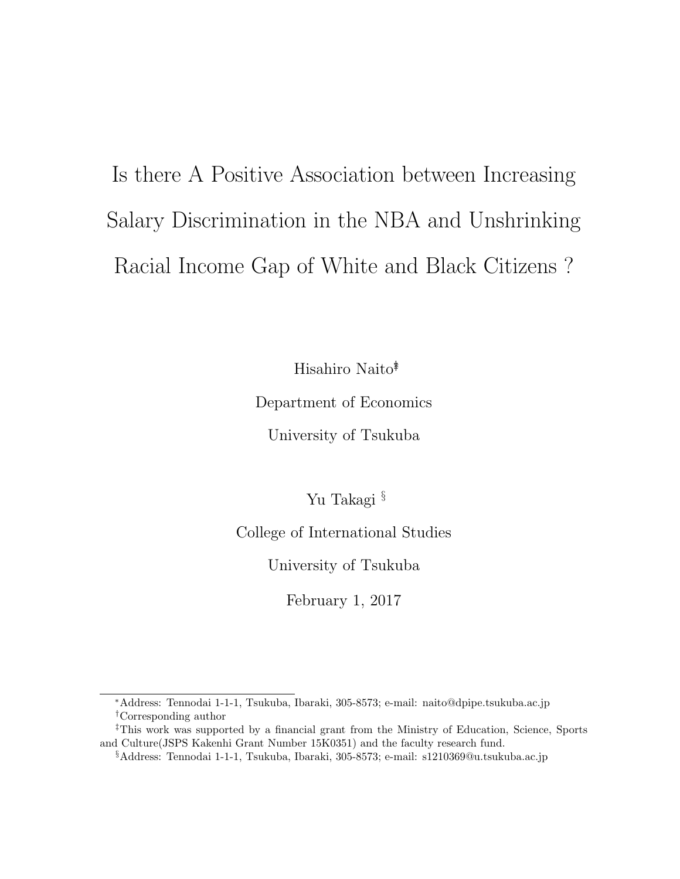# Is there A Positive Association between Increasing Salary Discrimination in the NBA and Unshrinking Racial Income Gap of White and Black Citizens ?

Hisahiro Naito<sup>\*</sup>

Department of Economics

University of Tsukuba

Yu Takagi §

College of International Studies

University of Tsukuba

February 1, 2017

<sup>∗</sup>Address: Tennodai 1-1-1, Tsukuba, Ibaraki, 305-8573; e-mail: naito@dpipe.tsukuba.ac.jp †Corresponding author

<sup>‡</sup>This work was supported by a financial grant from the Ministry of Education, Science, Sports and Culture(JSPS Kakenhi Grant Number 15K0351) and the faculty research fund.

<sup>§</sup>Address: Tennodai 1-1-1, Tsukuba, Ibaraki, 305-8573; e-mail: s1210369@u.tsukuba.ac.jp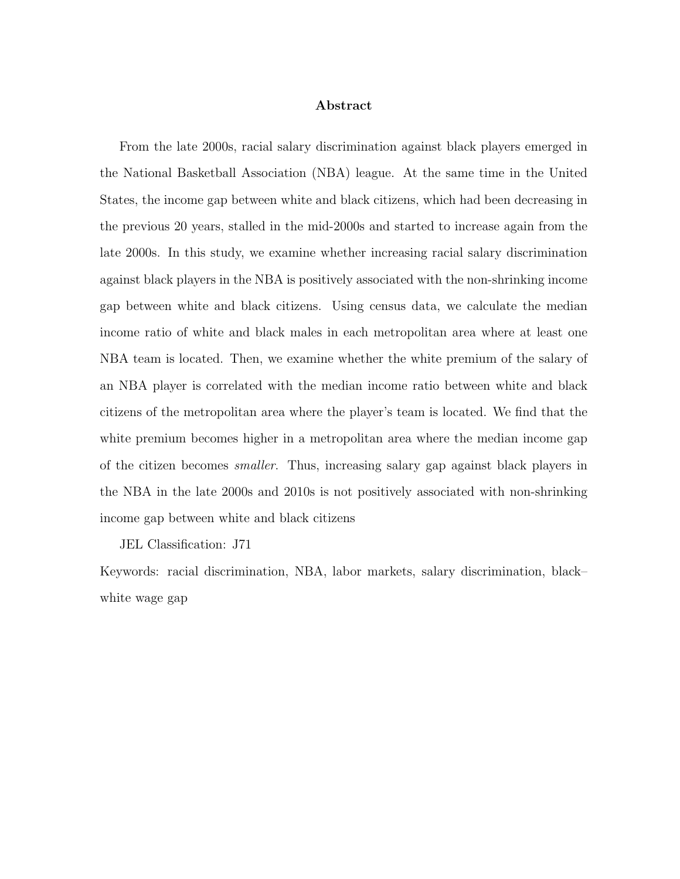#### Abstract

From the late 2000s, racial salary discrimination against black players emerged in the National Basketball Association (NBA) league. At the same time in the United States, the income gap between white and black citizens, which had been decreasing in the previous 20 years, stalled in the mid-2000s and started to increase again from the late 2000s. In this study, we examine whether increasing racial salary discrimination against black players in the NBA is positively associated with the non-shrinking income gap between white and black citizens. Using census data, we calculate the median income ratio of white and black males in each metropolitan area where at least one NBA team is located. Then, we examine whether the white premium of the salary of an NBA player is correlated with the median income ratio between white and black citizens of the metropolitan area where the player's team is located. We find that the white premium becomes higher in a metropolitan area where the median income gap of the citizen becomes smaller. Thus, increasing salary gap against black players in the NBA in the late 2000s and 2010s is not positively associated with non-shrinking income gap between white and black citizens

JEL Classification: J71

Keywords: racial discrimination, NBA, labor markets, salary discrimination, black– white wage gap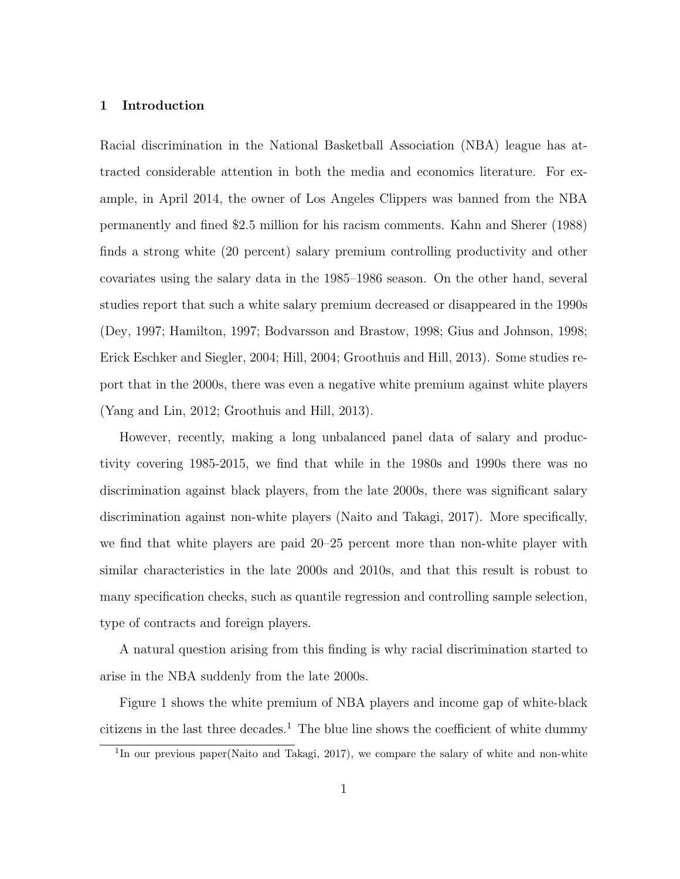#### 1 Introduction

Racial discrimination in the National Basketball Association (NBA) league has attracted considerable attention in both the media and economics literature. For example, in April 2014, the owner of Los Angeles Clippers was banned from the NBA permanently and fined \$2.5 million for his racism comments. Kahn and Sherer (1988) finds a strong white (20 percent) salary premium controlling productivity and other covariates using the salary data in the 1985–1986 season. On the other hand, several studies report that such a white salary premium decreased or disappeared in the 1990s (Dey, 1997; Hamilton, 1997; Bodvarsson and Brastow, 1998; Gius and Johnson, 1998; Erick Eschker and Siegler, 2004; Hill, 2004; Groothuis and Hill, 2013). Some studies report that in the 2000s, there was even a negative white premium against white players (Yang and Lin, 2012; Groothuis and Hill, 2013).

However, recently, making a long unbalanced panel data of salary and productivity covering 1985-2015, we find that while in the 1980s and 1990s there was no discrimination against black players, from the late 2000s, there was significant salary discrimination against non-white players (Naito and Takagi, 2017). More specifically, we find that white players are paid 20–25 percent more than non-white player with similar characteristics in the late 2000s and 2010s, and that this result is robust to many specification checks, such as quantile regression and controlling sample selection, type of contracts and foreign players.

A natural question arising from this finding is why racial discrimination started to arise in the NBA suddenly from the late 2000s.

Figure 1 shows the white premium of NBA players and income gap of white-black citizens in the last three decades.<sup>1</sup> The blue line shows the coefficient of white dummy

<sup>&</sup>lt;sup>1</sup>In our previous paper(Naito and Takagi, 2017), we compare the salary of white and non-white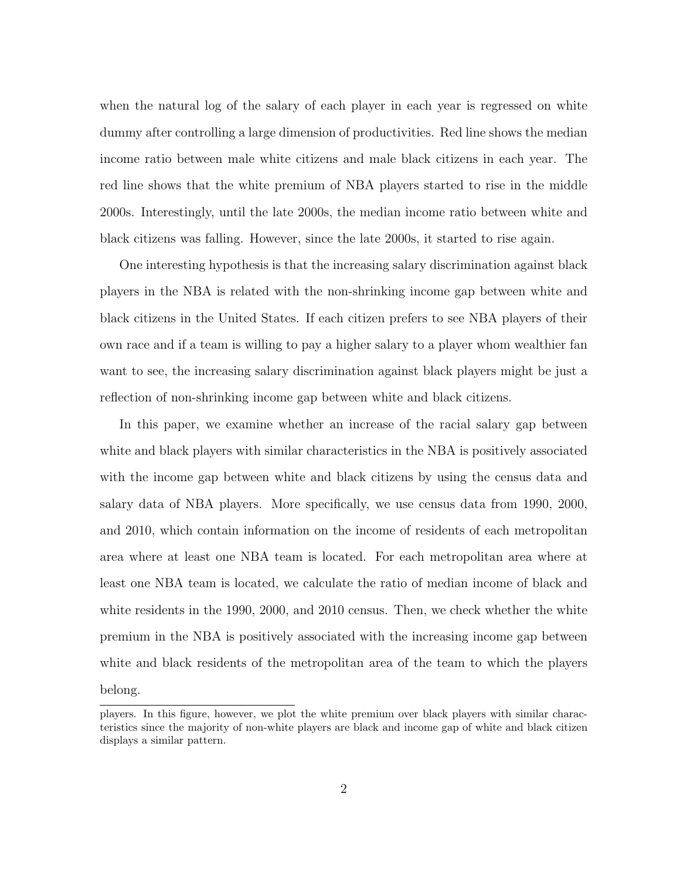when the natural log of the salary of each player in each year is regressed on white dummy after controlling a large dimension of productivities. Red line shows the median income ratio between male white citizens and male black citizens in each year. The red line shows that the white premium of NBA players started to rise in the middle 2000s. Interestingly, until the late 2000s, the median income ratio between white and black citizens was falling. However, since the late 2000s, it started to rise again.

One interesting hypothesis is that the increasing salary discrimination against black players in the NBA is related with the non-shrinking income gap between white and black citizens in the United States. If each citizen prefers to see NBA players of their own race and if a team is willing to pay a higher salary to a player whom wealthier fan want to see, the increasing salary discrimination against black players might be just a reflection of non-shrinking income gap between white and black citizens.

In this paper, we examine whether an increase of the racial salary gap between white and black players with similar characteristics in the NBA is positively associated with the income gap between white and black citizens by using the census data and salary data of NBA players. More specifically, we use census data from 1990, 2000, and 2010, which contain information on the income of residents of each metropolitan area where at least one NBA team is located. For each metropolitan area where at least one NBA team is located, we calculate the ratio of median income of black and white residents in the 1990, 2000, and 2010 census. Then, we check whether the white premium in the NBA is positively associated with the increasing income gap between white and black residents of the metropolitan area of the team to which the players belong.

players. In this figure, however, we plot the white premium over black players with similar characteristics since the majority of non-white players are black and income gap of white and black citizen displays a similar pattern.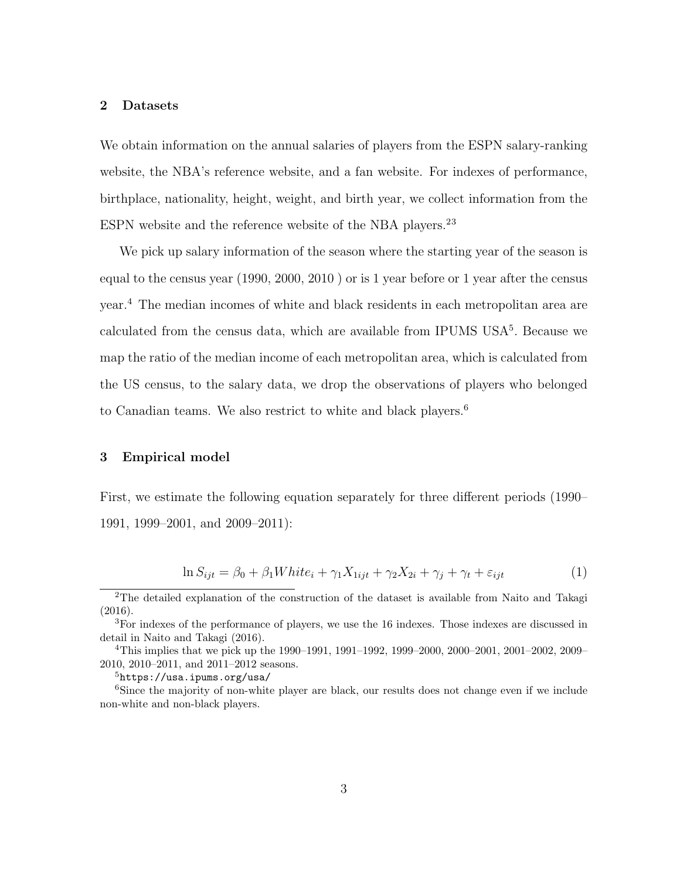### 2 Datasets

We obtain information on the annual salaries of players from the ESPN salary-ranking website, the NBA's reference website, and a fan website. For indexes of performance, birthplace, nationality, height, weight, and birth year, we collect information from the ESPN website and the reference website of the NBA players.<sup>23</sup>

We pick up salary information of the season where the starting year of the season is equal to the census year (1990, 2000, 2010 ) or is 1 year before or 1 year after the census year.<sup>4</sup> The median incomes of white and black residents in each metropolitan area are calculated from the census data, which are available from IPUMS USA<sup>5</sup>. Because we map the ratio of the median income of each metropolitan area, which is calculated from the US census, to the salary data, we drop the observations of players who belonged to Canadian teams. We also restrict to white and black players.<sup>6</sup>

## 3 Empirical model

First, we estimate the following equation separately for three different periods (1990– 1991, 1999–2001, and 2009–2011):

$$
\ln S_{ijt} = \beta_0 + \beta_1 White_i + \gamma_1 X_{1ijt} + \gamma_2 X_{2i} + \gamma_j + \gamma_t + \varepsilon_{ijt}
$$
\n<sup>(1)</sup>

<sup>5</sup>https://usa.ipums.org/usa/

<sup>&</sup>lt;sup>2</sup>The detailed explanation of the construction of the dataset is available from Naito and Takagi (2016).

<sup>3</sup>For indexes of the performance of players, we use the 16 indexes. Those indexes are discussed in detail in Naito and Takagi (2016).

<sup>4</sup>This implies that we pick up the 1990–1991, 1991–1992, 1999–2000, 2000–2001, 2001–2002, 2009– 2010, 2010–2011, and 2011–2012 seasons.

<sup>&</sup>lt;sup>6</sup>Since the majority of non-white player are black, our results does not change even if we include non-white and non-black players.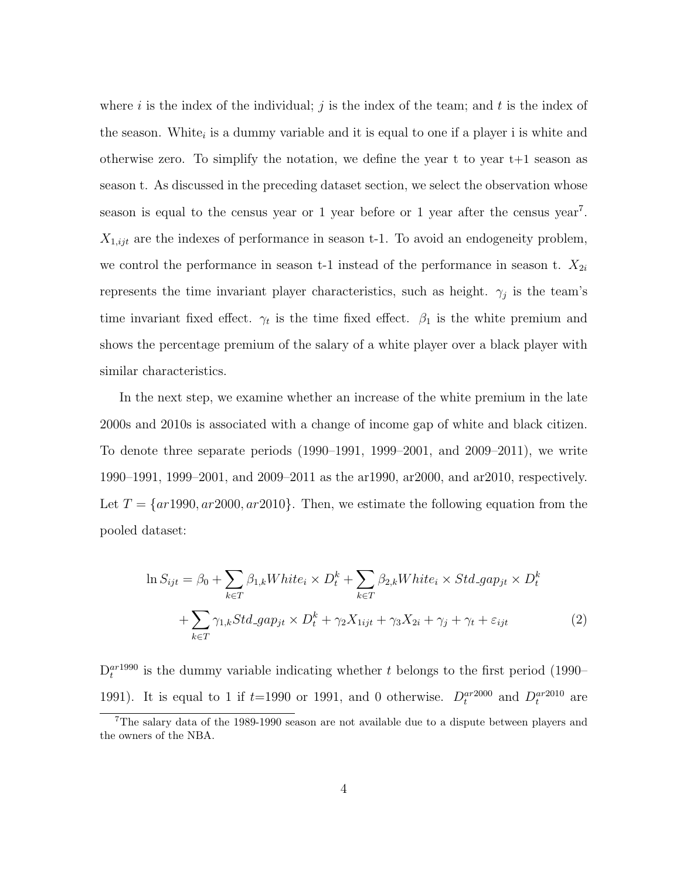where i is the index of the individual; j is the index of the team; and t is the index of the season. White<sub>i</sub> is a dummy variable and it is equal to one if a player i is white and otherwise zero. To simplify the notation, we define the year t to year  $t+1$  season as season t. As discussed in the preceding dataset section, we select the observation whose season is equal to the census year or 1 year before or 1 year after the census year<sup>7</sup>.  $X_{1,ijt}$  are the indexes of performance in season t-1. To avoid an endogeneity problem, we control the performance in season t-1 instead of the performance in season t.  $X_{2i}$ represents the time invariant player characteristics, such as height.  $\gamma_j$  is the team's time invariant fixed effect.  $\gamma_t$  is the time fixed effect.  $\beta_1$  is the white premium and shows the percentage premium of the salary of a white player over a black player with similar characteristics.

In the next step, we examine whether an increase of the white premium in the late 2000s and 2010s is associated with a change of income gap of white and black citizen. To denote three separate periods (1990–1991, 1999–2001, and 2009–2011), we write 1990–1991, 1999–2001, and 2009–2011 as the ar1990, ar2000, and ar2010, respectively. Let  $T = \{ar1990, ar2000, ar2010\}$ . Then, we estimate the following equation from the pooled dataset:

$$
\ln S_{ijt} = \beta_0 + \sum_{k \in T} \beta_{1,k} White_i \times D_t^k + \sum_{k \in T} \beta_{2,k} White_i \times Std\_gap_{jt} \times D_t^k
$$

$$
+ \sum_{k \in T} \gamma_{1,k} Std\_gap_{jt} \times D_t^k + \gamma_2 X_{1ijt} + \gamma_3 X_{2i} + \gamma_j + \gamma_t + \varepsilon_{ijt}
$$
(2)

 $D_t^{ar1990}$  is the dummy variable indicating whether t belongs to the first period (1990– 1991). It is equal to 1 if  $t=1990$  or 1991, and 0 otherwise.  $D_t^{ar2000}$  and  $D_t^{ar2010}$  are

<sup>7</sup>The salary data of the 1989-1990 season are not available due to a dispute between players and the owners of the NBA.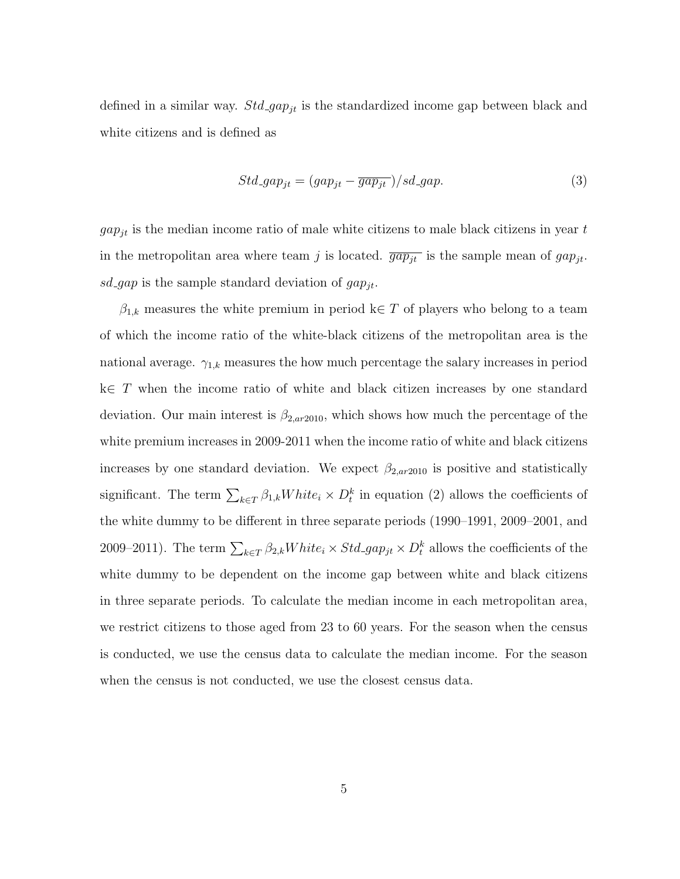defined in a similar way.  $Std\_{gapjt}$  is the standardized income gap between black and white citizens and is defined as

$$
Std\_gap_{jt} = (gap_{jt} - \overline{gap_{jt}}) / sd\_gap.
$$
\n(3)

 $gap_{jt}$  is the median income ratio of male white citizens to male black citizens in year t in the metropolitan area where team j is located.  $\overline{gap_{jt}}$  is the sample mean of  $gap_{jt}$ . sd gap is the sample standard deviation of  $gap_{jt}$ .

 $\beta_{1,k}$  measures the white premium in period k∈ T of players who belong to a team of which the income ratio of the white-black citizens of the metropolitan area is the national average.  $\gamma_{1,k}$  measures the how much percentage the salary increases in period k∈ T when the income ratio of white and black citizen increases by one standard deviation. Our main interest is  $\beta_{2,ar2010}$ , which shows how much the percentage of the white premium increases in 2009-2011 when the income ratio of white and black citizens increases by one standard deviation. We expect  $\beta_{2,ar2010}$  is positive and statistically significant. The term  $\sum_{k\in T}\beta_{1,k}White_i \times D_t^k$  in equation (2) allows the coefficients of the white dummy to be different in three separate periods (1990–1991, 2009–2001, and 2009–2011). The term  $\sum_{k \in T} \beta_{2,k} White_i \times Std\_gap_{jt} \times D_t^k$  allows the coefficients of the white dummy to be dependent on the income gap between white and black citizens in three separate periods. To calculate the median income in each metropolitan area, we restrict citizens to those aged from 23 to 60 years. For the season when the census is conducted, we use the census data to calculate the median income. For the season when the census is not conducted, we use the closest census data.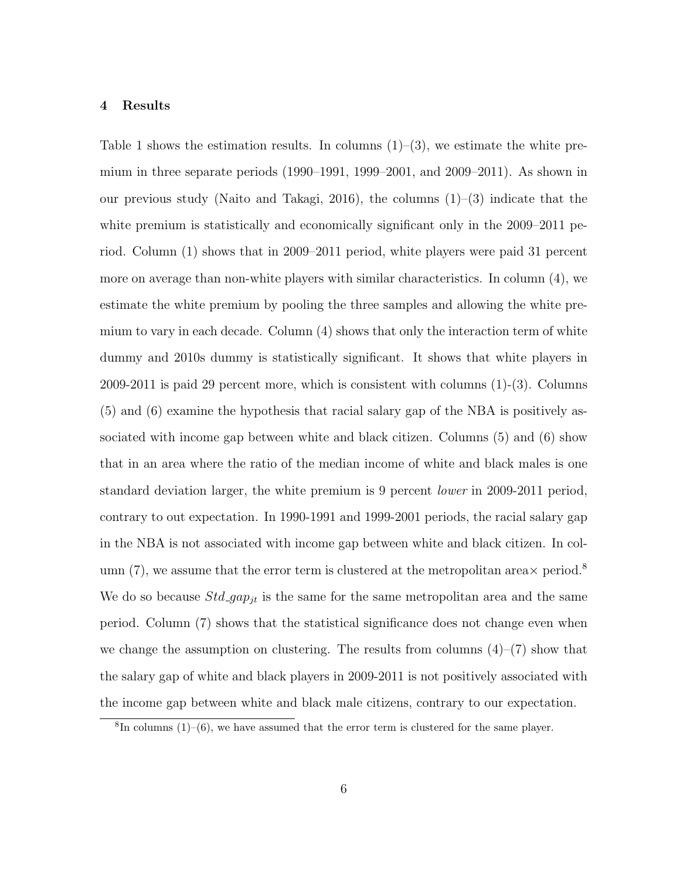#### 4 Results

Table 1 shows the estimation results. In columns  $(1)$ – $(3)$ , we estimate the white premium in three separate periods  $(1990-1991, 1999-2001,$  and  $2009-2011)$ . As shown in our previous study (Naito and Takagi, 2016), the columns  $(1)$ – $(3)$  indicate that the white premium is statistically and economically significant only in the 2009–2011 period. Column (1) shows that in 2009–2011 period, white players were paid 31 percent more on average than non-white players with similar characteristics. In column (4), we estimate the white premium by pooling the three samples and allowing the white premium to vary in each decade. Column (4) shows that only the interaction term of white dummy and 2010s dummy is statistically significant. It shows that white players in 2009-2011 is paid 29 percent more, which is consistent with columns (1)-(3). Columns (5) and (6) examine the hypothesis that racial salary gap of the NBA is positively associated with income gap between white and black citizen. Columns (5) and (6) show that in an area where the ratio of the median income of white and black males is one standard deviation larger, the white premium is 9 percent lower in 2009-2011 period, contrary to out expectation. In 1990-1991 and 1999-2001 periods, the racial salary gap in the NBA is not associated with income gap between white and black citizen. In column (7), we assume that the error term is clustered at the metropolitan area  $\times$  period.<sup>8</sup> We do so because  $Std\_gap_{jt}$  is the same for the same metropolitan area and the same period. Column (7) shows that the statistical significance does not change even when we change the assumption on clustering. The results from columns  $(4)$ – $(7)$  show that the salary gap of white and black players in 2009-2011 is not positively associated with the income gap between white and black male citizens, contrary to our expectation.

 ${}^{8}$ In columns (1)–(6), we have assumed that the error term is clustered for the same player.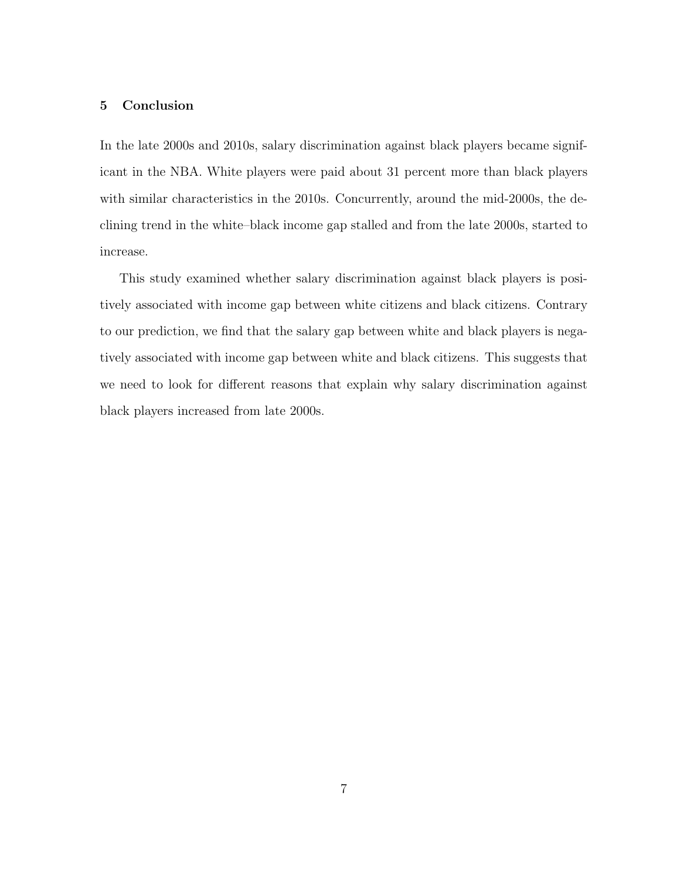## 5 Conclusion

In the late 2000s and 2010s, salary discrimination against black players became significant in the NBA. White players were paid about 31 percent more than black players with similar characteristics in the 2010s. Concurrently, around the mid-2000s, the declining trend in the white–black income gap stalled and from the late 2000s, started to increase.

This study examined whether salary discrimination against black players is positively associated with income gap between white citizens and black citizens. Contrary to our prediction, we find that the salary gap between white and black players is negatively associated with income gap between white and black citizens. This suggests that we need to look for different reasons that explain why salary discrimination against black players increased from late 2000s.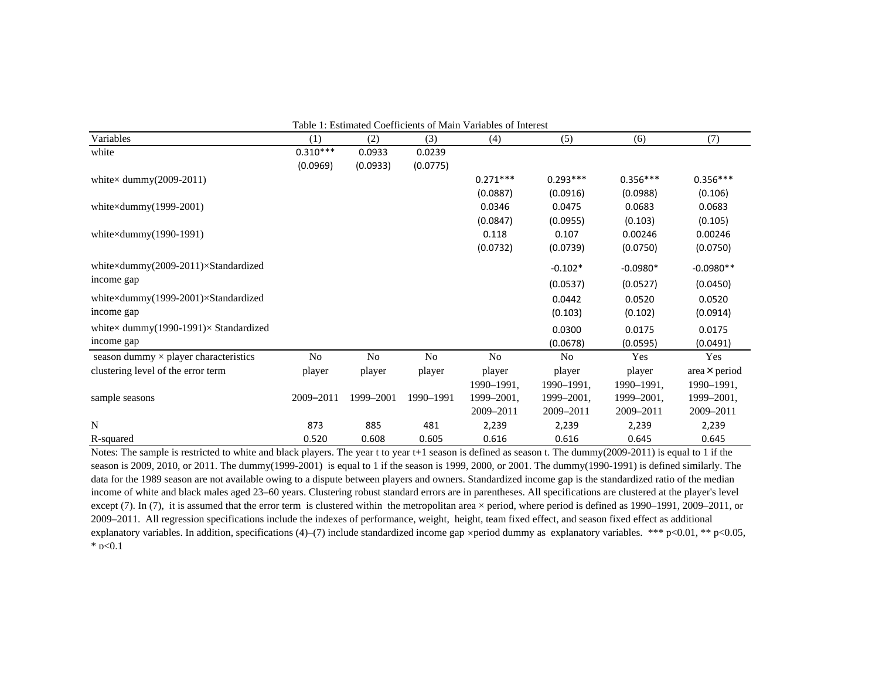| Table 1: Estimated Coefficients of Main Variables of Interest |                |                |           |                |                |            |                      |
|---------------------------------------------------------------|----------------|----------------|-----------|----------------|----------------|------------|----------------------|
| Variables                                                     | (1)            | (2)            | (3)       | (4)            | (5)            | (6)        | (7)                  |
| white                                                         | $0.310***$     | 0.0933         | 0.0239    |                |                |            |                      |
|                                                               | (0.0969)       | (0.0933)       | (0.0775)  |                |                |            |                      |
| white $\times$ dummy(2009-2011)                               |                |                |           | $0.271***$     | $0.293***$     | $0.356***$ | $0.356***$           |
|                                                               |                |                |           | (0.0887)       | (0.0916)       | (0.0988)   | (0.106)              |
| white $\times$ dummy $(1999-2001)$                            |                |                |           | 0.0346         | 0.0475         | 0.0683     | 0.0683               |
|                                                               |                |                |           | (0.0847)       | (0.0955)       | (0.103)    | (0.105)              |
| white $\times$ dummy $(1990-1991)$                            |                |                |           | 0.118          | 0.107          | 0.00246    | 0.00246              |
|                                                               |                |                |           | (0.0732)       | (0.0739)       | (0.0750)   | (0.0750)             |
| white×dummy(2009-2011)×Standardized                           |                |                |           |                | $-0.102*$      | $-0.0980*$ | $-0.0980**$          |
| income gap                                                    |                |                |           |                | (0.0537)       | (0.0527)   | (0.0450)             |
| white×dummy(1999-2001)×Standardized                           |                |                |           |                | 0.0442         | 0.0520     | 0.0520               |
| income gap                                                    |                |                |           |                | (0.103)        | (0.102)    | (0.0914)             |
| white $\times$ dummy(1990-1991) $\times$ Standardized         |                |                |           |                | 0.0300         | 0.0175     | 0.0175               |
| income gap                                                    |                |                |           |                | (0.0678)       | (0.0595)   | (0.0491)             |
| season dummy $\times$ player characteristics                  | N <sub>o</sub> | N <sub>o</sub> | No        | N <sub>o</sub> | N <sub>0</sub> | Yes        | Yes                  |
| clustering level of the error term                            | player         | player         | player    | player         | player         | player     | area $\times$ period |
|                                                               |                |                |           | 1990-1991,     | 1990-1991,     | 1990-1991, | 1990-1991,           |
| sample seasons                                                | 2009-2011      | 1999-2001      | 1990-1991 | 1999-2001,     | 1999-2001,     | 1999-2001, | 1999-2001,           |
|                                                               |                |                |           | 2009-2011      | 2009-2011      | 2009-2011  | 2009-2011            |
| $\mathbf N$                                                   | 873            | 885            | 481       | 2,239          | 2,239          | 2,239      | 2,239                |
| R-squared                                                     | 0.520          | 0.608          | 0.605     | 0.616          | 0.616          | 0.645      | 0.645                |

Notes: The sample is restricted to white and black players. The year t to year t+1 season is defined as season t. The dummy(2009-2011) is equal to 1 if the season is 2009, 2010, or 2011. The dummy(1999-2001) is equal to 1 if the season is 1999, 2000, or 2001. The dummy(1990-1991) is defined similarly. The data for the 1989 season are not available owing to a dispute between players and owners. Standardized income gap is the standardized ratio of the median income of white and black males aged 23–60 years. Clustering robust standard errors are in parentheses. All specifications are clustered at the player's level except (7). In (7), it is assumed that the error term is clustered within the metropolitan area × period, where period is defined as 1990–1991, 2009–2011, or 2009–2011. All regression specifications include the indexes of performance, weight, height, team fixed effect, and season fixed effect as additional explanatory variables. In addition, specifications (4)–(7) include standardized income gap xperiod dummy as explanatory variables. \*\*\* p<0.01, \*\* p<0.05,  $*$  p<0.1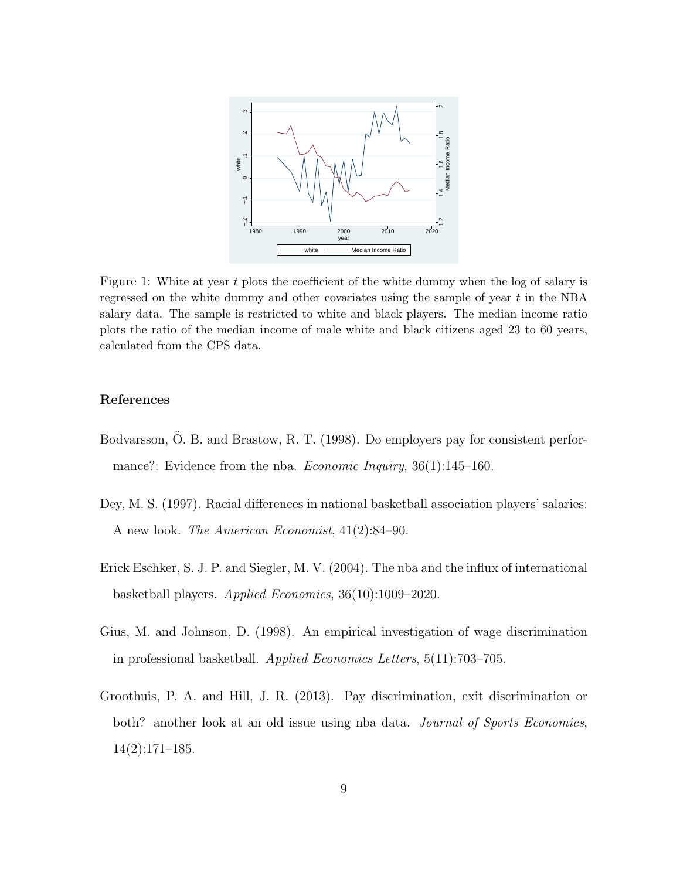

Figure 1: White at year t plots the coefficient of the white dummy when the log of salary is regressed on the white dummy and other covariates using the sample of year  $t$  in the NBA salary data. The sample is restricted to white and black players. The median income ratio plots the ratio of the median income of male white and black citizens aged 23 to 60 years, calculated from the CPS data.

## References

- Bodvarsson, Ö. B. and Brastow, R. T. (1998). Do employers pay for consistent performance?: Evidence from the nba. *Economic Inquiry*, 36(1):145–160.
- Dey, M. S. (1997). Racial differences in national basketball association players' salaries: A new look. The American Economist, 41(2):84–90.
- Erick Eschker, S. J. P. and Siegler, M. V. (2004). The nba and the influx of international basketball players. Applied Economics, 36(10):1009–2020.
- Gius, M. and Johnson, D. (1998). An empirical investigation of wage discrimination in professional basketball. Applied Economics Letters, 5(11):703–705.
- Groothuis, P. A. and Hill, J. R. (2013). Pay discrimination, exit discrimination or both? another look at an old issue using nba data. *Journal of Sports Economics*, 14(2):171–185.